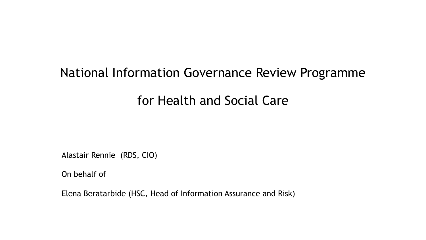# National Information Governance Review Programme for Health and Social Care

Alastair Rennie (RDS, CIO)

On behalf of

Elena Beratarbide (HSC, Head of Information Assurance and Risk)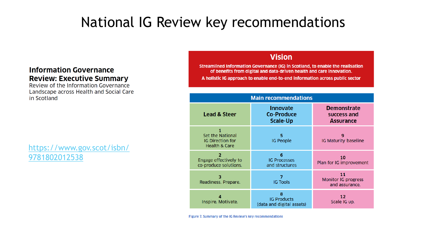## National IG Review key recommendations

### **Information Governance Review: Executive Summary**

Review of the Information Governance Landscape across Health and Social Care in Scotland

### [https://www.gov.scot/isbn/](https://www.gov.scot/isbn/9781802012538) 9781802012538

### **Vision**

Streamlined Information Governance (IG) in Scotland, to enable the realisation of benefits from digital and data-driven health and care innovation. A holistic IG approach to enable end-to-end information across public sector

| <b>Main recommendations</b>                                                    |                                                         |                                                       |
|--------------------------------------------------------------------------------|---------------------------------------------------------|-------------------------------------------------------|
| <b>Lead &amp; Steer</b>                                                        | <b>Innovate</b><br><b>Co-Produce</b><br><b>Scale-Up</b> | <b>Demonstrate</b><br>success and<br><b>Assurance</b> |
| <b>Set the National</b><br><b>IG Direction for</b><br><b>Health &amp; Care</b> | 5<br><b>IG People</b>                                   | 9<br>IG Maturity baseline                             |
| Engage effectively to<br>co-produce solutions.                                 | 6<br><b>IG Processes</b><br>and structures              | 10<br>Plan for IG improvement                         |
| 3<br>Readiness. Prepare.                                                       | <b>IG Tools</b>                                         | 11<br>Monitor IG progress<br>and assurance.           |
| Inspire. Motivate.                                                             | 8<br><b>IG Products</b><br>(data and digital assets)    | 12<br>Scale IG up.                                    |

Figure 7. Summary of the IG Review's key recommendations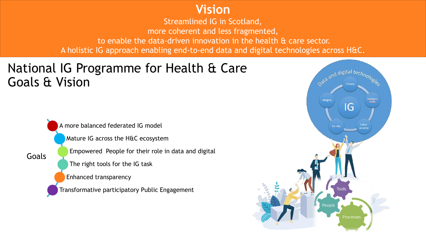### **Vision**

Streamlined IG in Scotland, more coherent and less fragmented, to enable the data-driven innovation in the health & care sector. A holistic IG approach enabling end-to-end data and digital technologies across H&C.

## National IG Programme for Health & Care Goals & Vision

A more balanced federated IG model

Mature IG across the H&C ecosystem

Empowered People for their role in data and digital

The right tools for the IG task

Enhanced transparency

Goals

Transformative participatory Public Engagement

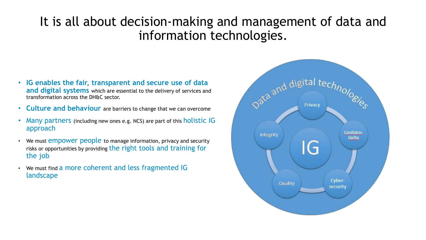## It is all about decision-making and management of data and information technologies.

- **IG enables the fair, transparent and secure use of data and digital systems** which are essential to the delivery of services and transformation across the DH&C sector.
- **Culture and behaviour** are barriers to change that we can overcome
- Many partners (including new ones e.g. NCS) are part of this holistic IG approach
- We must empower people to manage information, privacy and security risks or opportunities by providing the right tools and training for the job
- We must find a more coherent and less fragmented IG landscape

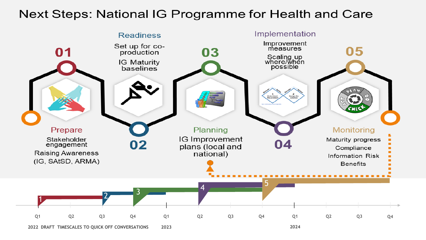### Next Steps: National IG Programme for Health and Care

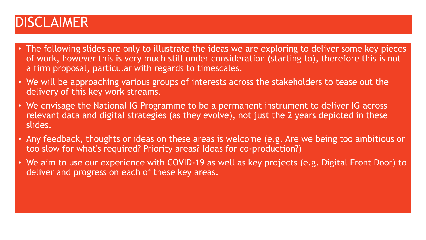## DISCLAIMER

- The following slides are only to illustrate the ideas we are exploring to deliver some key pieces of work, however this is very much still under consideration (starting to), therefore this is not a firm proposal, particular with regards to timescales.
- We will be approaching various groups of interests across the stakeholders to tease out the delivery of this key work streams.
- We envisage the National IG Programme to be a permanent instrument to deliver IG across relevant data and digital strategies (as they evolve), not just the 2 years depicted in these slides.
- Any feedback, thoughts or ideas on these areas is welcome (e.g. Are we being too ambitious or too slow for what's required? Priority areas? Ideas for co-production?)
- We aim to use our experience with COVID-19 as well as key projects (e.g. Digital Front Door) to deliver and progress on each of these key areas.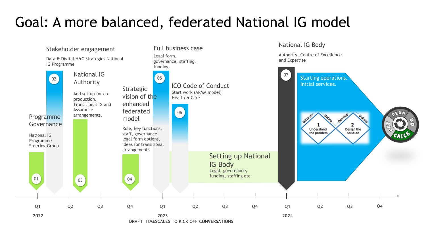## Goal: A more balanced, federated National IG model

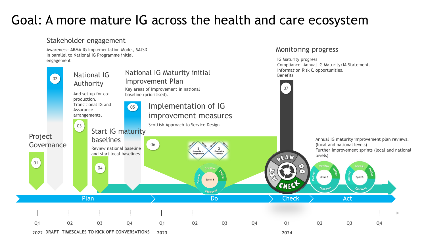## Goal: A more mature IG across the health and care ecosystem

### Stakeholder engagement

Awareness: ARMA IG Implementation Model, SAtSD In parallel to National IG Programme initial engagement



Monitoring progress

IG Maturity progress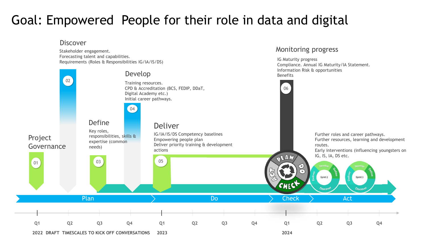## Goal: Empowered People for their role in data and digital

#### Discover

Stakeholder engagement. Forecasting talent and capabilities. Requirements (Roles & Responsibilities IG/IA/IS/DS)



Monitoring progress

IG Maturity progress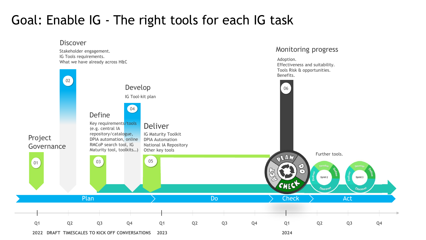## Goal: Enable IG - The right tools for each IG task

#### Discover





Monitoring progress

Adoption.